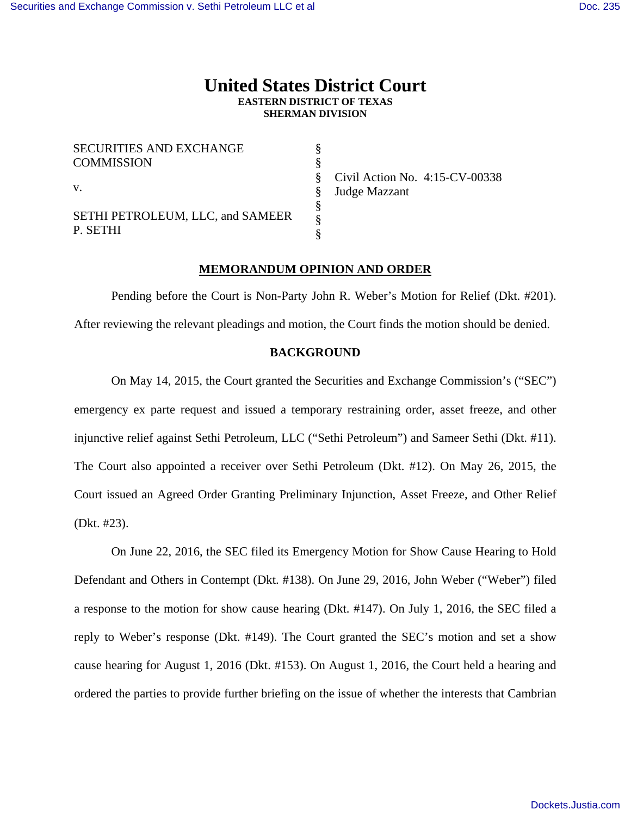# **United States District Court EASTERN DISTRICT OF TEXAS SHERMAN DIVISION**

| <b>SECURITIES AND EXCHANGE</b>   |  |
|----------------------------------|--|
| <b>COMMISSION</b>                |  |
|                                  |  |
| $\mathbf{V}$ .                   |  |
|                                  |  |
| SETHI PETROLEUM, LLC, and SAMEER |  |
| P. SETHI                         |  |

Civil Action No. 4:15-CV-00338 Judge Mazzant

### **MEMORANDUM OPINION AND ORDER**

 Pending before the Court is Non-Party John R. Weber's Motion for Relief (Dkt. #201). After reviewing the relevant pleadings and motion, the Court finds the motion should be denied.

### **BACKGROUND**

 On May 14, 2015, the Court granted the Securities and Exchange Commission's ("SEC") emergency ex parte request and issued a temporary restraining order, asset freeze, and other injunctive relief against Sethi Petroleum, LLC ("Sethi Petroleum") and Sameer Sethi (Dkt. #11). The Court also appointed a receiver over Sethi Petroleum (Dkt. #12). On May 26, 2015, the Court issued an Agreed Order Granting Preliminary Injunction, Asset Freeze, and Other Relief (Dkt. #23).

 On June 22, 2016, the SEC filed its Emergency Motion for Show Cause Hearing to Hold Defendant and Others in Contempt (Dkt. #138). On June 29, 2016, John Weber ("Weber") filed a response to the motion for show cause hearing (Dkt. #147). On July 1, 2016, the SEC filed a reply to Weber's response (Dkt. #149). The Court granted the SEC's motion and set a show cause hearing for August 1, 2016 (Dkt. #153). On August 1, 2016, the Court held a hearing and ordered the parties to provide further briefing on the issue of whether the interests that Cambrian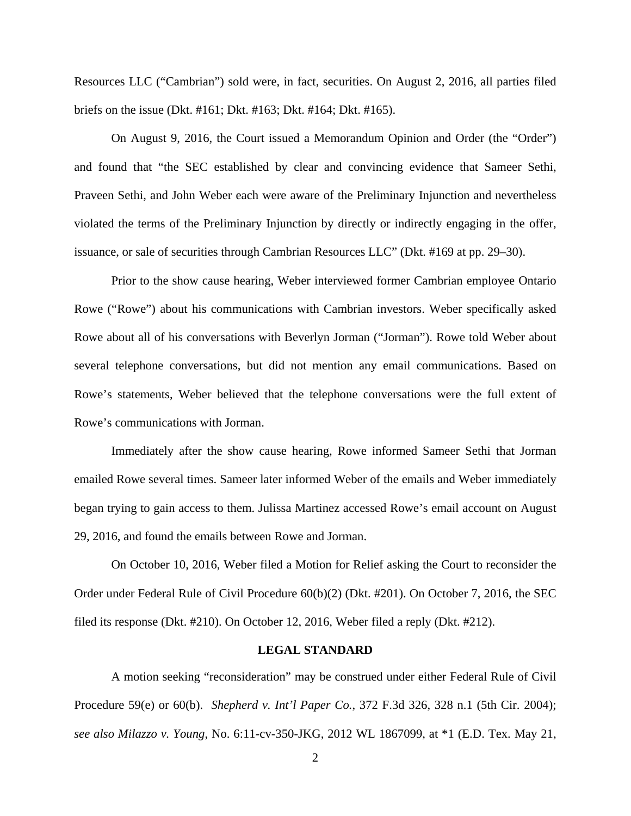Resources LLC ("Cambrian") sold were, in fact, securities. On August 2, 2016, all parties filed briefs on the issue (Dkt. #161; Dkt. #163; Dkt. #164; Dkt. #165).

 On August 9, 2016, the Court issued a Memorandum Opinion and Order (the "Order") and found that "the SEC established by clear and convincing evidence that Sameer Sethi, Praveen Sethi, and John Weber each were aware of the Preliminary Injunction and nevertheless violated the terms of the Preliminary Injunction by directly or indirectly engaging in the offer, issuance, or sale of securities through Cambrian Resources LLC" (Dkt. #169 at pp. 29–30).

 Prior to the show cause hearing, Weber interviewed former Cambrian employee Ontario Rowe ("Rowe") about his communications with Cambrian investors. Weber specifically asked Rowe about all of his conversations with Beverlyn Jorman ("Jorman"). Rowe told Weber about several telephone conversations, but did not mention any email communications. Based on Rowe's statements, Weber believed that the telephone conversations were the full extent of Rowe's communications with Jorman.

 Immediately after the show cause hearing, Rowe informed Sameer Sethi that Jorman emailed Rowe several times. Sameer later informed Weber of the emails and Weber immediately began trying to gain access to them. Julissa Martinez accessed Rowe's email account on August 29, 2016, and found the emails between Rowe and Jorman.

 On October 10, 2016, Weber filed a Motion for Relief asking the Court to reconsider the Order under Federal Rule of Civil Procedure 60(b)(2) (Dkt. #201). On October 7, 2016, the SEC filed its response (Dkt. #210). On October 12, 2016, Weber filed a reply (Dkt. #212).

#### **LEGAL STANDARD**

A motion seeking "reconsideration" may be construed under either Federal Rule of Civil Procedure 59(e) or 60(b). *Shepherd v. Int'l Paper Co.*, 372 F.3d 326, 328 n.1 (5th Cir. 2004); *see also Milazzo v. Young*, No. 6:11-cv-350-JKG, 2012 WL 1867099, at \*1 (E.D. Tex. May 21,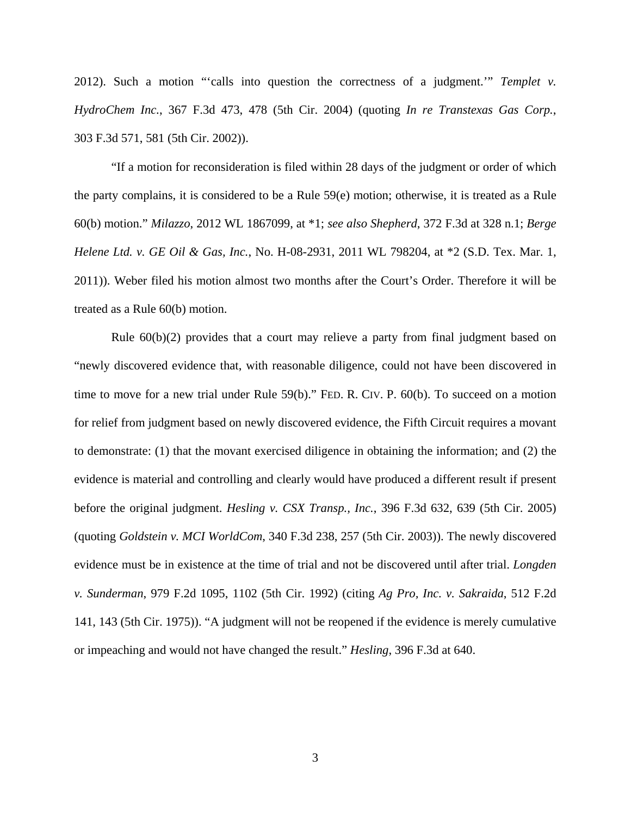2012). Such a motion "'calls into question the correctness of a judgment.'" *Templet v. HydroChem Inc.*, 367 F.3d 473, 478 (5th Cir. 2004) (quoting *In re Transtexas Gas Corp.*, 303 F.3d 571, 581 (5th Cir. 2002)).

 "If a motion for reconsideration is filed within 28 days of the judgment or order of which the party complains, it is considered to be a Rule 59(e) motion; otherwise, it is treated as a Rule 60(b) motion." *Milazzo*, 2012 WL 1867099, at \*1; *see also Shepherd*, 372 F.3d at 328 n.1; *Berge Helene Ltd. v. GE Oil & Gas, Inc.*, No. H-08-2931, 2011 WL 798204, at \*2 (S.D. Tex. Mar. 1, 2011)). Weber filed his motion almost two months after the Court's Order. Therefore it will be treated as a Rule 60(b) motion.

 Rule 60(b)(2) provides that a court may relieve a party from final judgment based on "newly discovered evidence that, with reasonable diligence, could not have been discovered in time to move for a new trial under Rule 59(b)." FED. R. CIV. P. 60(b). To succeed on a motion for relief from judgment based on newly discovered evidence, the Fifth Circuit requires a movant to demonstrate: (1) that the movant exercised diligence in obtaining the information; and (2) the evidence is material and controlling and clearly would have produced a different result if present before the original judgment. *Hesling v. CSX Transp., Inc.*, 396 F.3d 632, 639 (5th Cir. 2005) (quoting *Goldstein v. MCI WorldCom*, 340 F.3d 238, 257 (5th Cir. 2003)). The newly discovered evidence must be in existence at the time of trial and not be discovered until after trial. *Longden v. Sunderman*, 979 F.2d 1095, 1102 (5th Cir. 1992) (citing *Ag Pro, Inc. v. Sakraida*, 512 F.2d 141, 143 (5th Cir. 1975)). "A judgment will not be reopened if the evidence is merely cumulative or impeaching and would not have changed the result." *Hesling*, 396 F.3d at 640.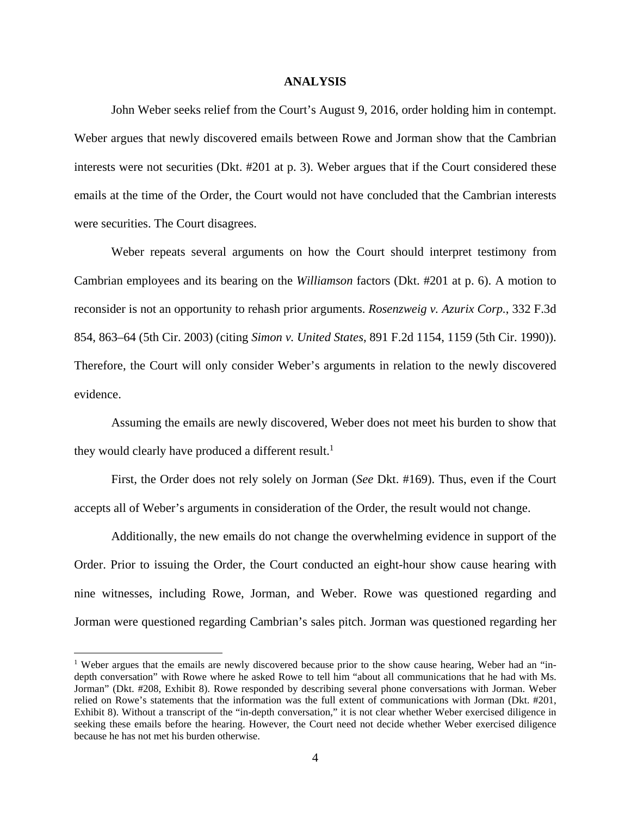#### **ANALYSIS**

 John Weber seeks relief from the Court's August 9, 2016, order holding him in contempt. Weber argues that newly discovered emails between Rowe and Jorman show that the Cambrian interests were not securities (Dkt. #201 at p. 3). Weber argues that if the Court considered these emails at the time of the Order, the Court would not have concluded that the Cambrian interests were securities. The Court disagrees.

 Weber repeats several arguments on how the Court should interpret testimony from Cambrian employees and its bearing on the *Williamson* factors (Dkt. #201 at p. 6). A motion to reconsider is not an opportunity to rehash prior arguments. *Rosenzweig v. Azurix Corp.*, 332 F.3d 854, 863–64 (5th Cir. 2003) (citing *Simon v. United States*, 891 F.2d 1154, 1159 (5th Cir. 1990)). Therefore, the Court will only consider Weber's arguments in relation to the newly discovered evidence.

 Assuming the emails are newly discovered, Weber does not meet his burden to show that they would clearly have produced a different result.<sup>1</sup>

First, the Order does not rely solely on Jorman (*See* Dkt. #169). Thus, even if the Court accepts all of Weber's arguments in consideration of the Order, the result would not change.

Additionally, the new emails do not change the overwhelming evidence in support of the Order. Prior to issuing the Order, the Court conducted an eight-hour show cause hearing with nine witnesses, including Rowe, Jorman, and Weber. Rowe was questioned regarding and Jorman were questioned regarding Cambrian's sales pitch. Jorman was questioned regarding her

 $\overline{a}$ 

<sup>&</sup>lt;sup>1</sup> Weber argues that the emails are newly discovered because prior to the show cause hearing, Weber had an "indepth conversation" with Rowe where he asked Rowe to tell him "about all communications that he had with Ms. Jorman" (Dkt. #208, Exhibit 8). Rowe responded by describing several phone conversations with Jorman. Weber relied on Rowe's statements that the information was the full extent of communications with Jorman (Dkt. #201, Exhibit 8). Without a transcript of the "in-depth conversation," it is not clear whether Weber exercised diligence in seeking these emails before the hearing. However, the Court need not decide whether Weber exercised diligence because he has not met his burden otherwise.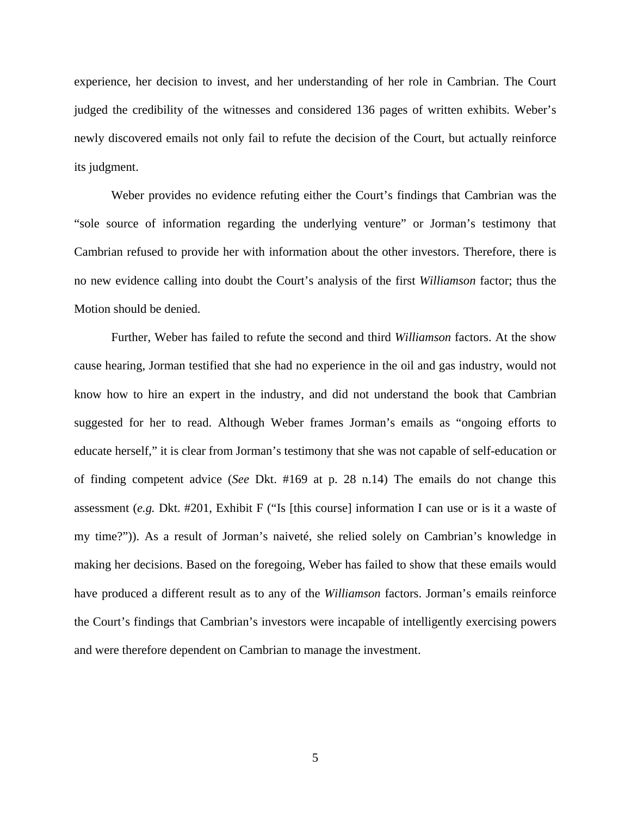experience, her decision to invest, and her understanding of her role in Cambrian. The Court judged the credibility of the witnesses and considered 136 pages of written exhibits. Weber's newly discovered emails not only fail to refute the decision of the Court, but actually reinforce its judgment.

Weber provides no evidence refuting either the Court's findings that Cambrian was the "sole source of information regarding the underlying venture" or Jorman's testimony that Cambrian refused to provide her with information about the other investors. Therefore, there is no new evidence calling into doubt the Court's analysis of the first *Williamson* factor; thus the Motion should be denied.

Further, Weber has failed to refute the second and third *Williamson* factors. At the show cause hearing, Jorman testified that she had no experience in the oil and gas industry, would not know how to hire an expert in the industry, and did not understand the book that Cambrian suggested for her to read. Although Weber frames Jorman's emails as "ongoing efforts to educate herself," it is clear from Jorman's testimony that she was not capable of self-education or of finding competent advice (*See* Dkt. #169 at p. 28 n.14) The emails do not change this assessment (*e.g.* Dkt. #201, Exhibit F ("Is [this course] information I can use or is it a waste of my time?")). As a result of Jorman's naiveté, she relied solely on Cambrian's knowledge in making her decisions. Based on the foregoing, Weber has failed to show that these emails would have produced a different result as to any of the *Williamson* factors. Jorman's emails reinforce the Court's findings that Cambrian's investors were incapable of intelligently exercising powers and were therefore dependent on Cambrian to manage the investment.